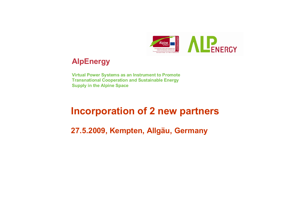

# **AlpEnergy**

**Virtual Power Systems as an Instrument to Promote Transnational Cooperation and Sustainable Energy Supply in the Alpine Space**

# **Incorporation of 2 new partners**

**27.5.2009, Kempten, Allgäu, Germany**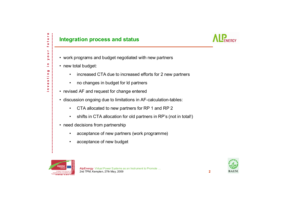c

#### **Integration process and status**



- work programs and budget negotiated with new partners
- new total budget:
	- •increased CTA due to increased efforts for 2 new partners
	- •no changes in budget for ld partners
- revised AF and request for change entered
- discussion ongoing due to limitations in AF-calculation-tables:
	- •CTA allocated to new partners for RP 1 and RP 2
	- •shifts in CTA allocation for old partners in RP's (not in total!)
- need decisions from partnership
	- •acceptance of new partners (work programme)
	- •acceptance of new budget



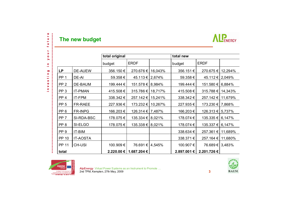

future

our.  $\blacktriangleright$  $\mathbb{E}% _{t}\left\| \mathcal{F}_{t}\right\| _{1}\leq\mathbb{E}_{t}\left\| \mathcal{F}_{t}\right\| _{1}$ 

investing

 $\blacksquare$ 

ł

|                 |                 | total original |                          |         | total new         |                    |         |
|-----------------|-----------------|----------------|--------------------------|---------|-------------------|--------------------|---------|
|                 |                 | budget         | <b>ERDF</b>              |         | budget            | <b>ERDF</b>        |         |
| <b>LP</b>       | <b>DE-AUEW</b>  | 356.150€       | 270.676€                 | 16,043% | 356.151€          | 270.675 €          | 12,294% |
| PP <sub>1</sub> | DE-AI           | 59.358€        | 45.113 € 2,674%          |         | 59.358€           | 45.112 €           | 2,049%  |
| PP <sub>2</sub> | DE-BAUM         | 199.444 €      | 151.578 € 8.984%         |         | 199.444 €         | 151.580 €          | 6,884%  |
| PP <sub>3</sub> | <b>IT-PMAN</b>  | 415.508€       | 315.786 € 18,717%        |         | 415.508€          | 315.788 €          | 14,343% |
| PP <sub>4</sub> | IT-FPM          | 338.342€       | 257.142 €                | 15,241% | 338.342€          | 257.142 €          | 11,679% |
| PP <sub>5</sub> | <b>FR-RAEE</b>  | 227.936€       | 173.232 €                | 10,267% | 227.935€          | 173.230 €   7,868% |         |
| PP <sub>6</sub> | <b>FR-INPG</b>  | 166.203€       | 126.314 €   7,487%       |         | 166.203€          | 126.313 €          | 5,737%  |
| PP <sub>7</sub> | SI-RDA-BSC      | 178.075€       | 135.334 €   8,021%       |         | 178.074€          | 135.335 €          | 6,147%  |
| PP <sub>8</sub> | SI-ELGO         | 178.075€       | 135.338 € 8.021%         |         | 178.074 €         | 135.337 €          | 6,147%  |
| PP <sub>9</sub> | IT-BIM          |                |                          |         | 338.634 €         | 257.361 €          | 11,689% |
| <b>PP 10</b>    | <b>IT-AOSTA</b> |                |                          |         | 338.371€          | 257.164 €          | 11,680% |
| <b>PP 11</b>    | <b>CH-USI</b>   | 100.909€       | 76.691€                  | 4,545%  | 100.907€          | 76.689€            | 3,483%  |
| total           |                 |                | 2.220.00 €   1.687.204 € |         | $2.897.001 \in I$ | 2.201.726€         |         |



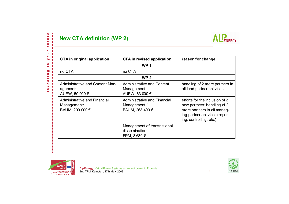### **New CTA definition (WP 2)**



| <b>CTA in original application</b>                             | CTA in revised application                                         | reason for change                                                                                                                                          |  |  |  |  |  |
|----------------------------------------------------------------|--------------------------------------------------------------------|------------------------------------------------------------------------------------------------------------------------------------------------------------|--|--|--|--|--|
|                                                                | <b>WP1</b>                                                         |                                                                                                                                                            |  |  |  |  |  |
| no CTA                                                         | no CTA                                                             |                                                                                                                                                            |  |  |  |  |  |
| <b>WP 2</b>                                                    |                                                                    |                                                                                                                                                            |  |  |  |  |  |
| Administrative and Content Man-<br>agement:<br>AUEW, 50.000 €  | <b>Administrative and Content</b><br>Management:<br>AUEW, 63.000 € | handling of 2 more partners in<br>all lead-partner activities                                                                                              |  |  |  |  |  |
| Administrative and Financial<br>Management:<br>BAUM, 200.000 € | Administrative and Financial<br>Management: '<br>BAUM, 263.400 €   | efforts for the inclusion of 2<br>new partners; handling of 2<br>more partners in all manag-<br>ing-partner activities (report-<br>ing, controlling, etc.) |  |  |  |  |  |
|                                                                | Management of transnational<br>dissemination:<br>FPM, 8.680 $\in$  |                                                                                                                                                            |  |  |  |  |  |



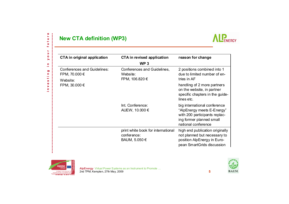## **New CTA definition (WP3)**



| <b>CTA in original application</b>           | CTA in revised application              | reason for change                                                                                                                              |  |
|----------------------------------------------|-----------------------------------------|------------------------------------------------------------------------------------------------------------------------------------------------|--|
|                                              | WP <sub>3</sub>                         |                                                                                                                                                |  |
| Conferences and Guidelines:<br>FPM, 70.000 € | Conferences and Guidelines,<br>Website: | 2 positions combined into 1<br>due to limited number of en-<br>tries in AF                                                                     |  |
| Website:                                     | FPM, 106.820 €                          |                                                                                                                                                |  |
| FPM, 30.000 €                                |                                         | handling of 2 more partners<br>on the website, in partner<br>specific chapters in the guide-<br>lines etc.                                     |  |
|                                              | Int. Conference:<br>AUEW, 10.000 €      | big international conference<br>"AlpEnergy meets E-Energy"<br>with 200 participants replac-<br>ing former planned small<br>national conference |  |
|                                              | print white book for international      | high end publication originally                                                                                                                |  |
|                                              | conference:                             | not planned but necessary to                                                                                                                   |  |
|                                              | BAUM, 5.050 €                           | position AlpEnergy in Euro-<br>pean SmartGrids discussion                                                                                      |  |